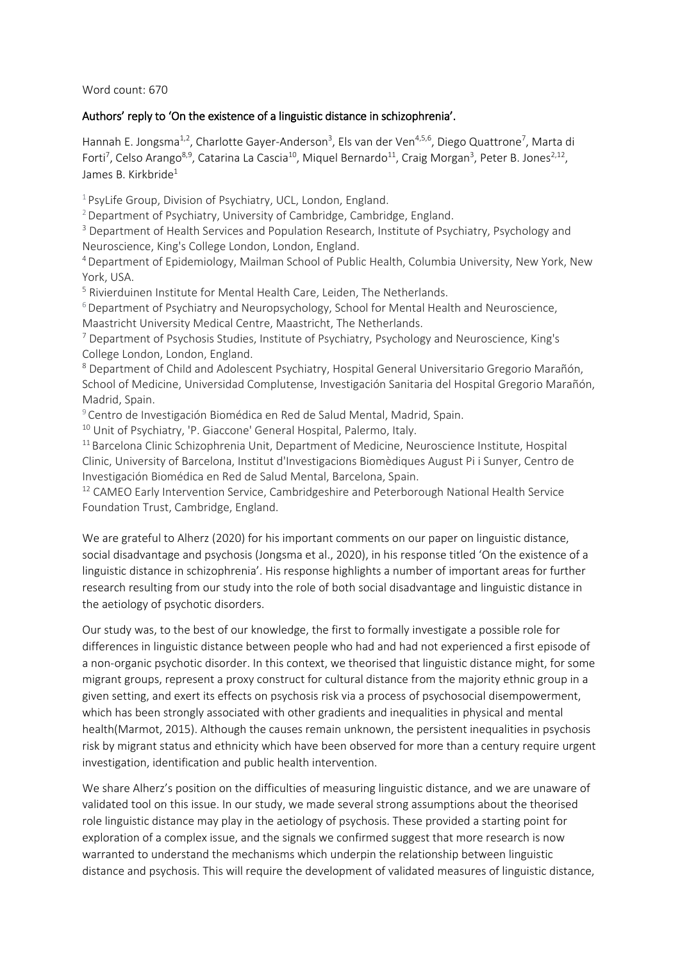Word count: 670

## Authors' reply to 'On the existence of a linguistic distance in schizophrenia'.

Hannah E. Jongsma<sup>1,2</sup>, Charlotte Gayer-Anderson<sup>3</sup>, Els van der Ven<sup>4,5,6</sup>, Diego Quattrone<sup>7</sup>, Marta di Forti<sup>7</sup>, Celso Arango<sup>8,9</sup>, Catarina La Cascia<sup>10</sup>, Miquel Bernardo<sup>11</sup>, Craig Morgan<sup>3</sup>, Peter B. Jones<sup>2,12</sup>, James B. Kirkbride<sup>1</sup>

<sup>1</sup> PsyLife Group, Division of Psychiatry, UCL, London, England.

<sup>2</sup> Department of Psychiatry, University of Cambridge, Cambridge, England.

<sup>3</sup> Department of Health Services and Population Research, Institute of Psychiatry, Psychology and Neuroscience, King's College London, London, England.

<sup>4</sup>Department of Epidemiology, Mailman School of Public Health, Columbia University, New York, New York, USA.

<sup>5</sup> Rivierduinen Institute for Mental Health Care, Leiden, The Netherlands.

 $6$  Department of Psychiatry and Neuropsychology, School for Mental Health and Neuroscience, Maastricht University Medical Centre, Maastricht, The Netherlands.

<sup>7</sup> Department of Psychosis Studies, Institute of Psychiatry, Psychology and Neuroscience, King's College London, London, England.

<sup>8</sup> Department of Child and Adolescent Psychiatry, Hospital General Universitario Gregorio Marañón, School of Medicine, Universidad Complutense, Investigación Sanitaria del Hospital Gregorio Marañón, Madrid, Spain.

<sup>9</sup> Centro de Investigación Biomédica en Red de Salud Mental, Madrid, Spain.

<sup>10</sup> Unit of Psychiatry, 'P. Giaccone' General Hospital, Palermo, Italy.

<sup>11</sup> Barcelona Clinic Schizophrenia Unit, Department of Medicine, Neuroscience Institute, Hospital Clinic, University of Barcelona, Institut d'Investigacions Biomèdiques August Pi i Sunyer, Centro de Investigación Biomédica en Red de Salud Mental, Barcelona, Spain.

<sup>12</sup> CAMEO Early Intervention Service, Cambridgeshire and Peterborough National Health Service Foundation Trust, Cambridge, England.

We are grateful to Alherz (2020) for his important comments on our paper on linguistic distance, social disadvantage and psychosis (Jongsma et al., 2020), in his response titled 'On the existence of a linguistic distance in schizophrenia'. His response highlights a number of important areas for further research resulting from our study into the role of both social disadvantage and linguistic distance in the aetiology of psychotic disorders.

Our study was, to the best of our knowledge, the first to formally investigate a possible role for differences in linguistic distance between people who had and had not experienced a first episode of a non-organic psychotic disorder. In this context, we theorised that linguistic distance might, for some migrant groups, represent a proxy construct for cultural distance from the majority ethnic group in a given setting, and exert its effects on psychosis risk via a process of psychosocial disempowerment, which has been strongly associated with other gradients and inequalities in physical and mental health(Marmot, 2015). Although the causes remain unknown, the persistent inequalities in psychosis risk by migrant status and ethnicity which have been observed for more than a century require urgent investigation, identification and public health intervention.

We share Alherz's position on the difficulties of measuring linguistic distance, and we are unaware of validated tool on this issue. In our study, we made several strong assumptions about the theorised role linguistic distance may play in the aetiology of psychosis. These provided a starting point for exploration of a complex issue, and the signals we confirmed suggest that more research is now warranted to understand the mechanisms which underpin the relationship between linguistic distance and psychosis. This will require the development of validated measures of linguistic distance,